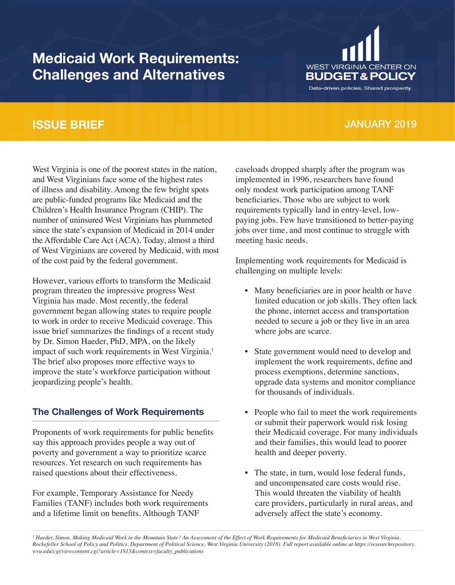# **Medicaid Work Requirements: Challenges and Alternatives**



Data-driven policies. Shared prosperity.

### **ISSUE BRIEF**

## JANUARY 2019

West Virginia is one of the poorest states in the nation, and West Virginians face some of the highest rates of illness and disability. Among the few bright spots are public-funded programs like Medicaid and the Children's Health Insurance Program (CHIP). The number of uninsured West Virginians has plummeted since the state's expansion of Medicaid in 2014 under the Affordable Care Act (ACA). Today, almost a third of West Virginians are covered by Medicaid, with most of the cost paid by the federal government.

However, various efforts to transform the Medicaid program threaten the impressive progress West Virginia has made. Most recently, the federal government began allowing states to require people to work in order to receive Medicaid coverage. This issue brief summarizes the findings of a recent study by Dr. Simon Haeder, PhD, MPA, on the likely impact of such work requirements in West Virginia.<sup>1</sup> The brief also proposes more effective ways to improve the state's workforce participation without jeopardizing people's health.

#### **The Challenges of Work Requirements**

Proponents of work requirements for public benefits say this approach provides people a way out of poverty and government a way to prioritize scarce resources. Yet research on such requirements has raised questions about their effectiveness.

For example, Temporary Assistance for Needy Families (TANF) includes both work requirements and a lifetime limit on benefits. Although TANF

caseloads dropped sharply after the program was implemented in 1996, researchers have found only modest work participation among TANF beneficiaries. Those who are subject to work requirements typically land in entry-level, lowpaying jobs. Few have transitioned to better-paying jobs over time, and most continue to struggle with meeting basic needs.

Implementing work requirements for Medicaid is challenging on multiple levels:

- Many beneficiaries are in poor health or have limited education or job skills. They often lack the phone, internet access and transportation needed to secure a job or they live in an area where jobs are scarce.
- State government would need to develop and implement the work requirements, define and process exemptions, determine sanctions, upgrade data systems and monitor compliance for thousands of individuals.
- People who fail to meet the work requirements or submit their paperwork would risk losing their Medicaid coverage. For many individuals and their families, this would lead to poorer health and deeper poverty.
- The state, in turn, would lose federal funds, and uncompensated care costs would rise. This would threaten the viability of health care providers, particularly in rural areas, and adversely affect the state's economy.

*1 Haeder, Simon. Making Medicaid Work in the Mountain State? An Assessment of the Effect of Work Requirements for Medicaid Beneficiaries in West Virginia. Rockefeller School of Policy and Politics, Department of Political Science, West Virginia University (2018). Full report available online at https://researchrepository. wvu.edu/cgi/viewcontent.cgi?article=1813&context=faculty\_publications*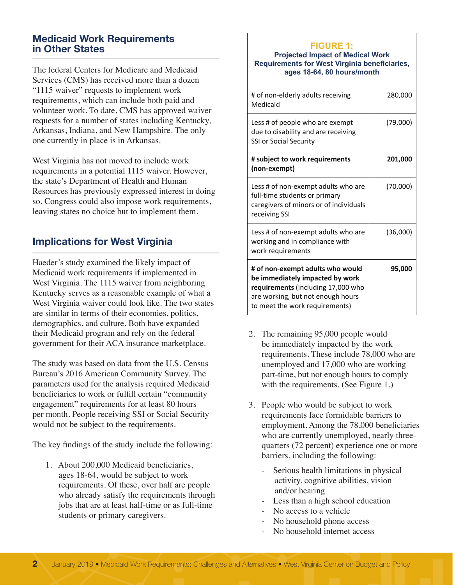#### **Medicaid Work Requirements in Other States**

The federal Centers for Medicare and Medicaid Services (CMS) has received more than a dozen "1115 waiver" requests to implement work requirements, which can include both paid and volunteer work. To date, CMS has approved waiver requests for a number of states including Kentucky, Arkansas, Indiana, and New Hampshire. The only one currently in place is in Arkansas.

West Virginia has not moved to include work requirements in a potential 1115 waiver. However, the state's Department of Health and Human Resources has previously expressed interest in doing so. Congress could also impose work requirements, leaving states no choice but to implement them.

### **Implications for West Virginia**

Haeder's study examined the likely impact of Medicaid work requirements if implemented in West Virginia. The 1115 waiver from neighboring Kentucky serves as a reasonable example of what a West Virginia waiver could look like. The two states are similar in terms of their economies, politics, demographics, and culture. Both have expanded their Medicaid program and rely on the federal government for their ACA insurance marketplace.

The study was based on data from the U.S. Census Bureau's 2016 American Community Survey. The parameters used for the analysis required Medicaid beneficiaries to work or fulfill certain "community engagement" requirements for at least 80 hours per month. People receiving SSI or Social Security would not be subject to the requirements.

The key findings of the study include the following:

1. About 200,000 Medicaid beneficiaries, ages 18-64, would be subject to work requirements. Of these, over half are people who already satisfy the requirements through jobs that are at least half-time or as full-time students or primary caregivers.

### **FIGURE 1: FIGURE 1:**

**Projected Impact of Medicaid Work Projected Impact of Medical Work Requirements for West Virginia beneficiaries, Requirements for West Virginia beneficiaries, ages 18-64, 80 hours/month ages 18-64, 80 hours/month**

| # of non-elderly adults receiving<br>Medicaid                                                                                                                                    | 280,000  |
|----------------------------------------------------------------------------------------------------------------------------------------------------------------------------------|----------|
| Less # of people who are exempt<br>due to disability and are receiving<br><b>SSI or Social Security</b>                                                                          | (79,000) |
| # subject to work requirements<br>(non-exempt)                                                                                                                                   | 201,000  |
| Less # of non-exempt adults who are<br>full-time students or primary<br>caregivers of minors or of individuals<br>receiving SSI                                                  | (70,000) |
| Less # of non-exempt adults who are<br>working and in compliance with<br>work requirements                                                                                       | (36,000) |
| # of non-exempt adults who would<br>be immediately impacted by work<br>requirements (including 17,000 who<br>are working, but not enough hours<br>to meet the work requirements) | 95,000   |

- 2. The remaining 95,000 people would be immediately impacted by the work requirements. These include 78,000 who are unemployed and 17,000 who are working part-time, but not enough hours to comply with the requirements. (See Figure 1.)
- 3. People who would be subject to work requirements face formidable barriers to employment. Among the 78,000 beneficiaries who are currently unemployed, nearly threequarters (72 percent) experience one or more barriers, including the following:
	- Serious health limitations in physical activity, cognitive abilities, vision and/or hearing
	- Less than a high school education
	- No access to a vehicle
	- No household phone access
	- No household internet access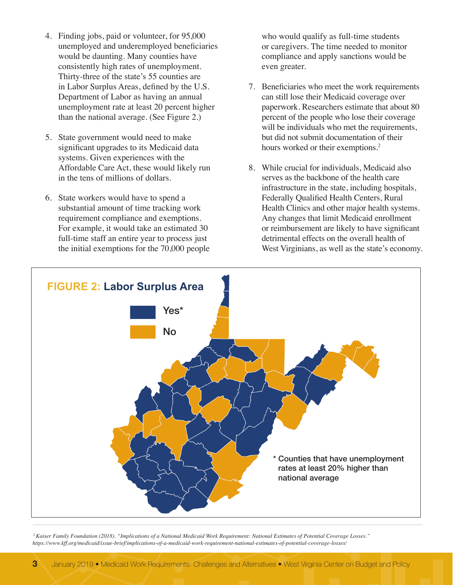- 4. Finding jobs, paid or volunteer, for 95,000 unemployed and underemployed beneficiaries would be daunting. Many counties have consistently high rates of unemployment. Thirty-three of the state's 55 counties are in Labor Surplus Areas, defined by the U.S. Department of Labor as having an annual unemployment rate at least 20 percent higher than the national average. (See Figure 2.)
- 5. State government would need to make significant upgrades to its Medicaid data systems. Given experiences with the Affordable Care Act, these would likely run in the tens of millions of dollars.
- 6. State workers would have to spend a substantial amount of time tracking work requirement compliance and exemptions. For example, it would take an estimated 30 full-time staff an entire year to process just the initial exemptions for the 70,000 people

who would qualify as full-time students or caregivers. The time needed to monitor compliance and apply sanctions would be even greater.

- 7. Beneficiaries who meet the work requirements can still lose their Medicaid coverage over paperwork. Researchers estimate that about 80 percent of the people who lose their coverage will be individuals who met the requirements, but did not submit documentation of their hours worked or their exemptions.<sup>2</sup>
- 8. While crucial for individuals, Medicaid also serves as the backbone of the health care infrastructure in the state, including hospitals, Federally Qualified Health Centers, Rural Health Clinics and other major health systems. Any changes that limit Medicaid enrollment or reimbursement are likely to have significant detrimental effects on the overall health of West Virginians, as well as the state's economy.



 *2 Kaiser Family Foundation (2018). "Implications of a National Medicaid Work Requirement: National Estimates of Potential Coverage Losses." https://www.kff.org/medicaid/issue-brief/implications-of-a-medicaid-work-requirement-national-estimates-of-potential-coverage-losses/*